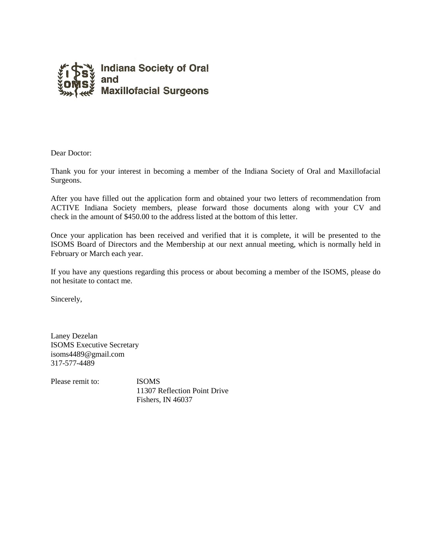

Dear Doctor:

Thank you for your interest in becoming a member of the Indiana Society of Oral and Maxillofacial Surgeons.

After you have filled out the application form and obtained your two letters of recommendation from ACTIVE Indiana Society members, please forward those documents along with your CV and check in the amount of \$450.00 to the address listed at the bottom of this letter.

Once your application has been received and verified that it is complete, it will be presented to the ISOMS Board of Directors and the Membership at our next annual meeting, which is normally held in February or March each year.

If you have any questions regarding this process or about becoming a member of the ISOMS, please do not hesitate to contact me.

Sincerely,

Laney Dezelan ISOMS Executive Secretary isoms4489@gmail.com 317-577-4489

Please remit to: **ISOMS** 

11307 Reflection Point Drive Fishers, IN 46037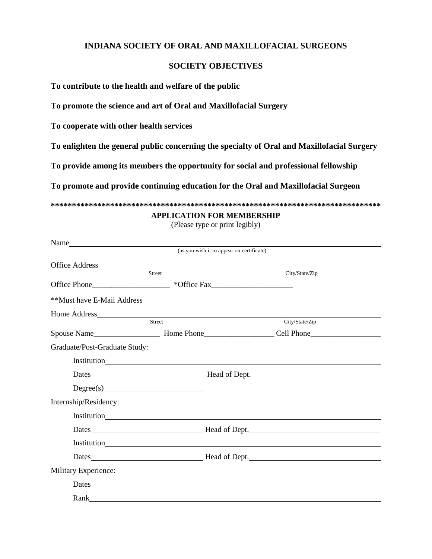## **INDIANA SOCIETY OF ORAL AND MAXILLOFACIAL SURGEONS**

## **SOCIETY OBJECTIVES**

**To contribute to the health and welfare of the public**

**To promote the science and art of Oral and Maxillofacial Surgery**

**To cooperate with other health services**

**To enlighten the general public concerning the specialty of Oral and Maxillofacial Surgery**

**To provide among its members the opportunity for social and professional fellowship**

**To promote and provide continuing education for the Oral and Maxillofacial Surgeon**

**\*\*\*\*\*\*\*\*\*\*\*\*\*\*\*\*\*\*\*\*\*\*\*\*\*\*\*\*\*\*\*\*\*\*\*\*\*\*\*\*\*\*\*\*\*\*\*\*\*\*\*\*\*\*\*\*\*\*\*\*\*\*\*\*\*\*\*\*\*\*\*\*\*\*\*\*\*\***

## **APPLICATION FOR MEMBERSHIP**

(Please type or print legibly)

|                               |                            | (as you wish it to appear on certificate)                                        |
|-------------------------------|----------------------------|----------------------------------------------------------------------------------|
|                               |                            |                                                                                  |
|                               | $\overline{\text{Street}}$ | City/State/Zip                                                                   |
|                               |                            | Office Phone______________________ *Office Fax__________________________________ |
|                               |                            |                                                                                  |
|                               |                            |                                                                                  |
|                               | Street                     | City/State/Zip                                                                   |
|                               |                            |                                                                                  |
| Graduate/Post-Graduate Study: |                            |                                                                                  |
|                               |                            |                                                                                  |
|                               |                            |                                                                                  |
|                               |                            |                                                                                  |
| Internship/Residency:         |                            |                                                                                  |
|                               |                            |                                                                                  |
|                               |                            |                                                                                  |
|                               |                            | Institution<br><u>Institution</u>                                                |
|                               |                            |                                                                                  |
| Military Experience:          |                            |                                                                                  |
|                               |                            |                                                                                  |
|                               |                            |                                                                                  |